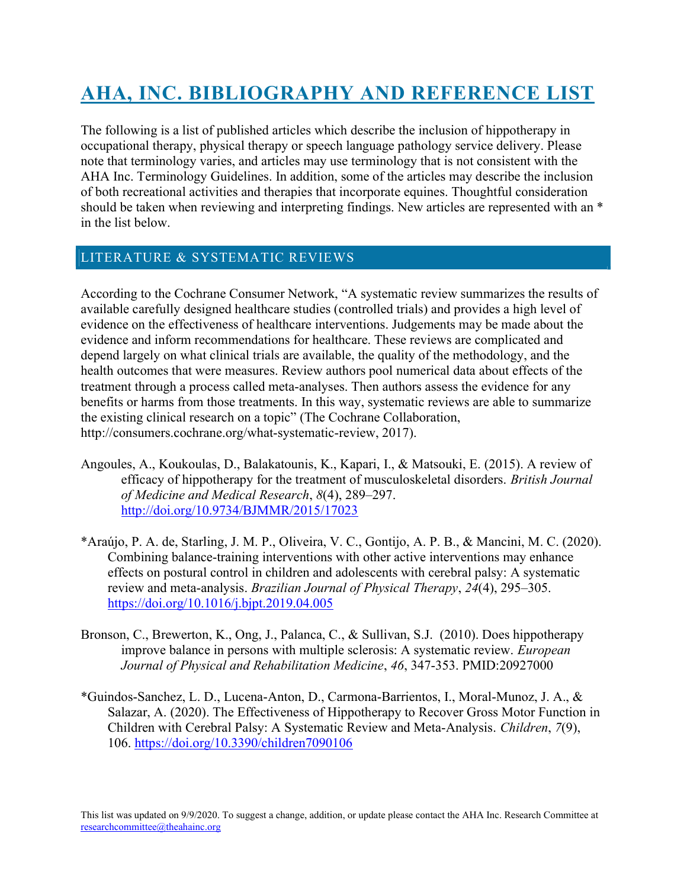# AHA, INC. BIBLIOGRAPHY AND REFERENCE LIST

The following is a list of published articles which describe the inclusion of hippotherapy in occupational therapy, physical therapy or speech language pathology service delivery. Please note that terminology varies, and articles may use terminology that is not consistent with the AHA Inc. Terminology Guidelines. In addition, some of the articles may describe the inclusion of both recreational activities and therapies that incorporate equines. Thoughtful consideration should be taken when reviewing and interpreting findings. New articles are represented with an \* in the list below.

## LITERATURE & SYSTEMATIC REVIEWS

According to the Cochrane Consumer Network, "A systematic review summarizes the results of available carefully designed healthcare studies (controlled trials) and provides a high level of evidence on the effectiveness of healthcare interventions. Judgements may be made about the evidence and inform recommendations for healthcare. These reviews are complicated and depend largely on what clinical trials are available, the quality of the methodology, and the health outcomes that were measures. Review authors pool numerical data about effects of the treatment through a process called meta-analyses. Then authors assess the evidence for any benefits or harms from those treatments. In this way, systematic reviews are able to summarize the existing clinical research on a topic" (The Cochrane Collaboration, http://consumers.cochrane.org/what-systematic-review, 2017).

- Angoules, A., Koukoulas, D., Balakatounis, K., Kapari, I., & Matsouki, E. (2015). A review of efficacy of hippotherapy for the treatment of musculoskeletal disorders. *British Journal* of Medicine and Medical Research, 8(4), 289–297. http://doi.org/10.9734/BJMMR/2015/17023
- \*Araújo, P. A. de, Starling, J. M. P., Oliveira, V. C., Gontijo, A. P. B., & Mancini, M. C. (2020). Combining balance-training interventions with other active interventions may enhance effects on postural control in children and adolescents with cerebral palsy: A systematic review and meta-analysis. Brazilian Journal of Physical Therapy, 24(4), 295–305. https://doi.org/10.1016/j.bjpt.2019.04.005
- Bronson, C., Brewerton, K., Ong, J., Palanca, C., & Sullivan, S.J. (2010). Does hippotherapy improve balance in persons with multiple sclerosis: A systematic review. *European* Journal of Physical and Rehabilitation Medicine, 46, 347-353. PMID:20927000
- \*Guindos-Sanchez, L. D., Lucena-Anton, D., Carmona-Barrientos, I., Moral-Munoz, J. A., & Salazar, A. (2020). The Effectiveness of Hippotherapy to Recover Gross Motor Function in Children with Cerebral Palsy: A Systematic Review and Meta-Analysis. Children, 7(9), 106. https://doi.org/10.3390/children7090106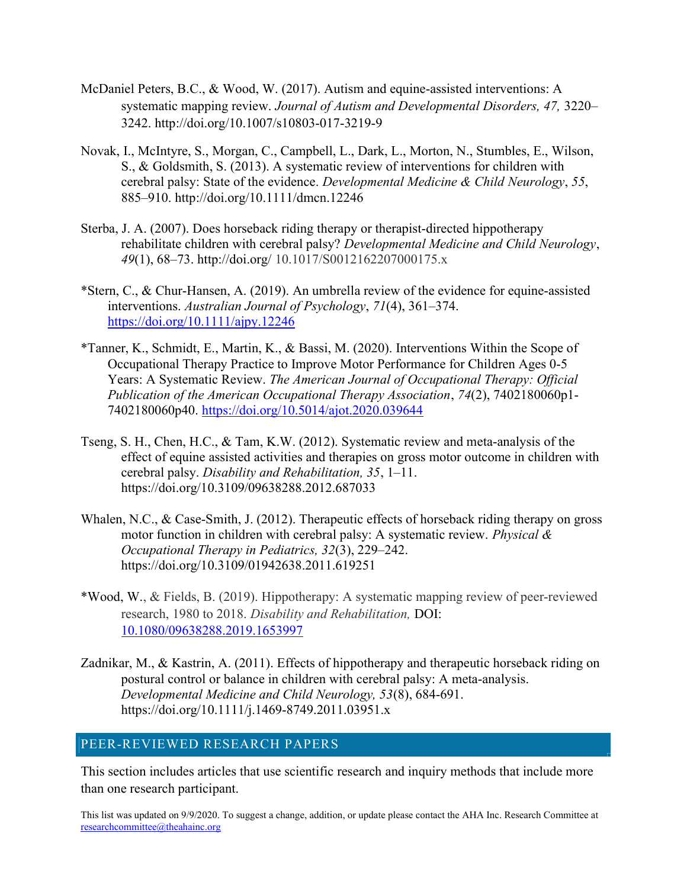- McDaniel Peters, B.C., & Wood, W. (2017). Autism and equine-assisted interventions: A systematic mapping review. Journal of Autism and Developmental Disorders, 47, 3220– 3242. http://doi.org/10.1007/s10803-017-3219-9
- Novak, I., McIntyre, S., Morgan, C., Campbell, L., Dark, L., Morton, N., Stumbles, E., Wilson, S., & Goldsmith, S. (2013). A systematic review of interventions for children with cerebral palsy: State of the evidence. Developmental Medicine & Child Neurology, 55, 885–910. http://doi.org/10.1111/dmcn.12246
- Sterba, J. A. (2007). Does horseback riding therapy or therapist-directed hippotherapy rehabilitate children with cerebral palsy? Developmental Medicine and Child Neurology, 49(1), 68–73. http://doi.org/ 10.1017/S0012162207000175.x
- \*Stern, C., & Chur‐Hansen, A. (2019). An umbrella review of the evidence for equine-assisted interventions. Australian Journal of Psychology, 71(4), 361–374. https://doi.org/10.1111/ajpy.12246
- \*Tanner, K., Schmidt, E., Martin, K., & Bassi, M. (2020). Interventions Within the Scope of Occupational Therapy Practice to Improve Motor Performance for Children Ages 0-5 Years: A Systematic Review. The American Journal of Occupational Therapy: Official Publication of the American Occupational Therapy Association, 74(2), 7402180060p1- 7402180060p40. https://doi.org/10.5014/ajot.2020.039644
- Tseng, S. H., Chen, H.C., & Tam, K.W. (2012). Systematic review and meta-analysis of the effect of equine assisted activities and therapies on gross motor outcome in children with cerebral palsy. Disability and Rehabilitation, 35, 1–11. https://doi.org/10.3109/09638288.2012.687033
- Whalen, N.C., & Case-Smith, J. (2012). Therapeutic effects of horseback riding therapy on gross motor function in children with cerebral palsy: A systematic review. Physical  $\&$ Occupational Therapy in Pediatrics, 32(3), 229–242. https://doi.org/10.3109/01942638.2011.619251
- \*Wood, W., & Fields, B. (2019). Hippotherapy: A systematic mapping review of peer-reviewed research, 1980 to 2018. Disability and Rehabilitation, DOI: 10.1080/09638288.2019.1653997
- Zadnikar, M., & Kastrin, A. (2011). Effects of hippotherapy and therapeutic horseback riding on postural control or balance in children with cerebral palsy: A meta-analysis. Developmental Medicine and Child Neurology, 53(8), 684-691. https://doi.org/10.1111/j.1469-8749.2011.03951.x

## PEER-REVIEWED RESEARCH PAPERS

This section includes articles that use scientific research and inquiry methods that include more than one research participant.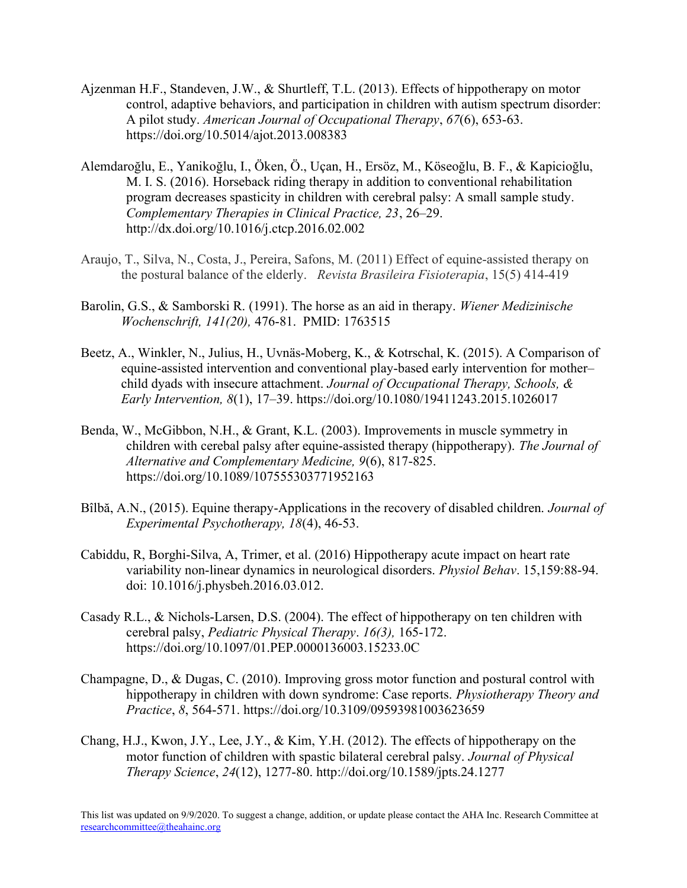- Ajzenman H.F., Standeven, J.W., & Shurtleff, T.L. (2013). Effects of hippotherapy on motor control, adaptive behaviors, and participation in children with autism spectrum disorder: A pilot study. American Journal of Occupational Therapy, 67(6), 653-63. https://doi.org/10.5014/ajot.2013.008383
- Alemdaroğlu, E., Yanikoğlu, I., Öken, Ö., Uçan, H., Ersöz, M., Köseoğlu, B. F., & Kapicioğlu, M. I. S. (2016). Horseback riding therapy in addition to conventional rehabilitation program decreases spasticity in children with cerebral palsy: A small sample study. Complementary Therapies in Clinical Practice, 23, 26–29. http://dx.doi.org/10.1016/j.ctcp.2016.02.002
- Araujo, T., Silva, N., Costa, J., Pereira, Safons, M. (2011) Effect of equine-assisted therapy on the postural balance of the elderly. Revista Brasileira Fisioterapia, 15(5) 414-419
- Barolin, G.S., & Samborski R. (1991). The horse as an aid in therapy. Wiener Medizinische Wochenschrift, 141(20), 476-81. PMID: 1763515
- Beetz, A., Winkler, N., Julius, H., Uvnäs-Moberg, K., & Kotrschal, K. (2015). A Comparison of equine-assisted intervention and conventional play-based early intervention for mother– child dyads with insecure attachment. Journal of Occupational Therapy, Schools, & Early Intervention, 8(1), 17–39. https://doi.org/10.1080/19411243.2015.1026017
- Benda, W., McGibbon, N.H., & Grant, K.L. (2003). Improvements in muscle symmetry in children with cerebal palsy after equine-assisted therapy (hippotherapy). The Journal of Alternative and Complementary Medicine, 9(6), 817-825. https://doi.org/10.1089/107555303771952163
- Bîlbă, A.N., (2015). Equine therapy-Applications in the recovery of disabled children. Journal of Experimental Psychotherapy, 18(4), 46-53.
- Cabiddu, R, Borghi-Silva, A, Trimer, et al. (2016) Hippotherapy acute impact on heart rate variability non-linear dynamics in neurological disorders. Physiol Behav. 15,159:88-94. doi: 10.1016/j.physbeh.2016.03.012.
- Casady R.L., & Nichols-Larsen, D.S. (2004). The effect of hippotherapy on ten children with cerebral palsy, Pediatric Physical Therapy. 16(3), 165-172. https://doi.org/10.1097/01.PEP.0000136003.15233.0C
- Champagne, D., & Dugas, C. (2010). Improving gross motor function and postural control with hippotherapy in children with down syndrome: Case reports. Physiotherapy Theory and Practice, 8, 564-571. https://doi.org/10.3109/09593981003623659
- Chang, H.J., Kwon, J.Y., Lee, J.Y., & Kim, Y.H. (2012). The effects of hippotherapy on the motor function of children with spastic bilateral cerebral palsy. Journal of Physical Therapy Science, 24(12), 1277-80. http://doi.org/10.1589/jpts.24.1277

This list was updated on 9/9/2020. To suggest a change, addition, or update please contact the AHA Inc. Research Committee at researchcommittee@theahainc.org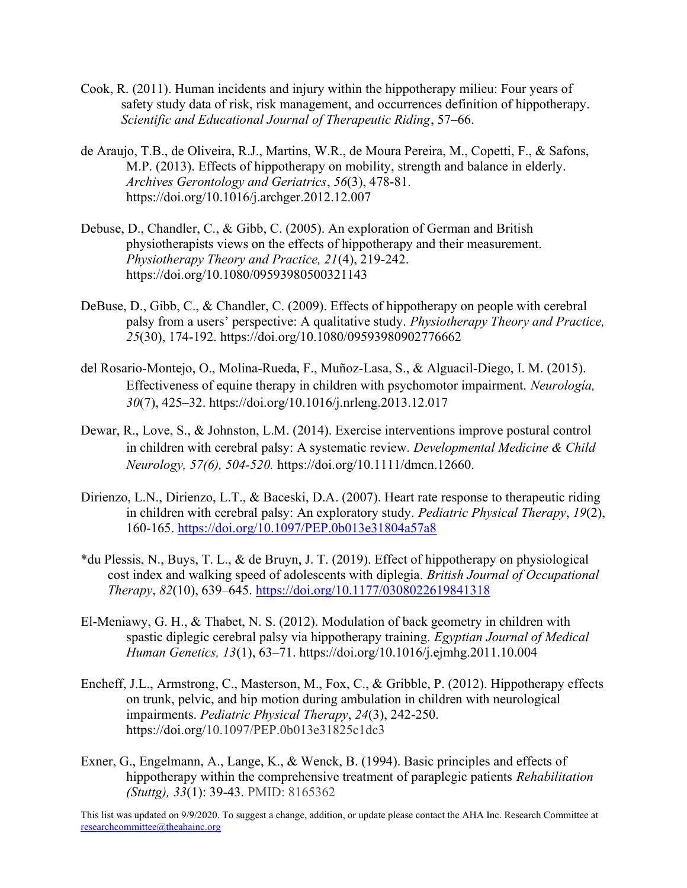- Cook, R. (2011). Human incidents and injury within the hippotherapy milieu: Four years of safety study data of risk, risk management, and occurrences definition of hippotherapy. Scientific and Educational Journal of Therapeutic Riding, 57–66.
- de Araujo, T.B., de Oliveira, R.J., Martins, W.R., de Moura Pereira, M., Copetti, F., & Safons, M.P. (2013). Effects of hippotherapy on mobility, strength and balance in elderly. Archives Gerontology and Geriatrics, 56(3), 478-81. https://doi.org/10.1016/j.archger.2012.12.007
- Debuse, D., Chandler, C., & Gibb, C. (2005). An exploration of German and British physiotherapists views on the effects of hippotherapy and their measurement. Physiotherapy Theory and Practice, 21(4), 219-242. https://doi.org/10.1080/09593980500321143
- DeBuse, D., Gibb, C., & Chandler, C. (2009). Effects of hippotherapy on people with cerebral palsy from a users' perspective: A qualitative study. Physiotherapy Theory and Practice, 25(30), 174-192. https://doi.org/10.1080/09593980902776662
- del Rosario-Montejo, O., Molina-Rueda, F., Muñoz-Lasa, S., & Alguacil-Diego, I. M. (2015). Effectiveness of equine therapy in children with psychomotor impairment. Neurología, 30(7), 425–32. https://doi.org/10.1016/j.nrleng.2013.12.017
- Dewar, R., Love, S., & Johnston, L.M. (2014). Exercise interventions improve postural control in children with cerebral palsy: A systematic review. Developmental Medicine & Child Neurology, 57(6), 504-520. https://doi.org/10.1111/dmcn.12660.
- Dirienzo, L.N., Dirienzo, L.T., & Baceski, D.A. (2007). Heart rate response to therapeutic riding in children with cerebral palsy: An exploratory study. Pediatric Physical Therapy, 19(2), 160-165. https://doi.org/10.1097/PEP.0b013e31804a57a8
- \*du Plessis, N., Buys, T. L., & de Bruyn, J. T. (2019). Effect of hippotherapy on physiological cost index and walking speed of adolescents with diplegia. British Journal of Occupational Therapy, 82(10), 639–645. https://doi.org/10.1177/0308022619841318
- El-Meniawy, G. H., & Thabet, N. S. (2012). Modulation of back geometry in children with spastic diplegic cerebral palsy via hippotherapy training. Egyptian Journal of Medical Human Genetics, 13(1), 63–71. https://doi.org/10.1016/j.ejmhg.2011.10.004
- Encheff, J.L., Armstrong, C., Masterson, M., Fox, C., & Gribble, P. (2012). Hippotherapy effects on trunk, pelvic, and hip motion during ambulation in children with neurological impairments. Pediatric Physical Therapy, 24(3), 242-250. https://doi.org/10.1097/PEP.0b013e31825c1dc3
- Exner, G., Engelmann, A., Lange, K., & Wenck, B. (1994). Basic principles and effects of hippotherapy within the comprehensive treatment of paraplegic patients Rehabilitation (Stuttg), 33(1): 39-43. PMID: 8165362

This list was updated on 9/9/2020. To suggest a change, addition, or update please contact the AHA Inc. Research Committee at researchcommittee@theahainc.org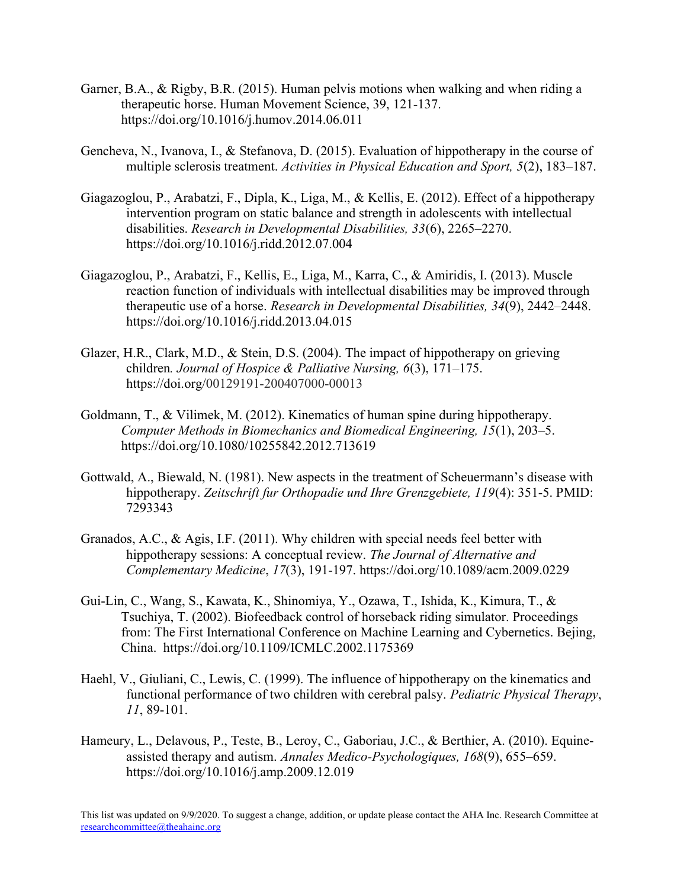- Garner, B.A., & Rigby, B.R. (2015). Human pelvis motions when walking and when riding a therapeutic horse. Human Movement Science, 39, 121-137. https://doi.org/10.1016/j.humov.2014.06.011
- Gencheva, N., Ivanova, I., & Stefanova, D. (2015). Evaluation of hippotherapy in the course of multiple sclerosis treatment. Activities in Physical Education and Sport, 5(2), 183–187.
- Giagazoglou, P., Arabatzi, F., Dipla, K., Liga, M., & Kellis, E. (2012). Effect of a hippotherapy intervention program on static balance and strength in adolescents with intellectual disabilities. Research in Developmental Disabilities, 33(6), 2265–2270. https://doi.org/10.1016/j.ridd.2012.07.004
- Giagazoglou, P., Arabatzi, F., Kellis, E., Liga, M., Karra, C., & Amiridis, I. (2013). Muscle reaction function of individuals with intellectual disabilities may be improved through therapeutic use of a horse. Research in Developmental Disabilities, 34(9), 2442–2448. https://doi.org/10.1016/j.ridd.2013.04.015
- Glazer, H.R., Clark, M.D., & Stein, D.S. (2004). The impact of hippotherapy on grieving children. Journal of Hospice & Palliative Nursing, 6(3), 171–175. https://doi.org/00129191-200407000-00013
- Goldmann, T., & Vilimek, M. (2012). Kinematics of human spine during hippotherapy. Computer Methods in Biomechanics and Biomedical Engineering, 15(1), 203–5. https://doi.org/10.1080/10255842.2012.713619
- Gottwald, A., Biewald, N. (1981). New aspects in the treatment of Scheuermann's disease with hippotherapy. Zeitschrift fur Orthopadie und Ihre Grenzgebiete, 119(4): 351-5. PMID: 7293343
- Granados, A.C., & Agis, I.F. (2011). Why children with special needs feel better with hippotherapy sessions: A conceptual review. The Journal of Alternative and Complementary Medicine, 17(3), 191-197. https://doi.org/10.1089/acm.2009.0229
- Gui-Lin, C., Wang, S., Kawata, K., Shinomiya, Y., Ozawa, T., Ishida, K., Kimura, T., & Tsuchiya, T. (2002). Biofeedback control of horseback riding simulator. Proceedings from: The First International Conference on Machine Learning and Cybernetics. Bejing, China. https://doi.org/10.1109/ICMLC.2002.1175369
- Haehl, V., Giuliani, C., Lewis, C. (1999). The influence of hippotherapy on the kinematics and functional performance of two children with cerebral palsy. Pediatric Physical Therapy, 11, 89-101.
- Hameury, L., Delavous, P., Teste, B., Leroy, C., Gaboriau, J.C., & Berthier, A. (2010). Equineassisted therapy and autism. Annales Medico-Psychologiques, 168(9), 655–659. https://doi.org/10.1016/j.amp.2009.12.019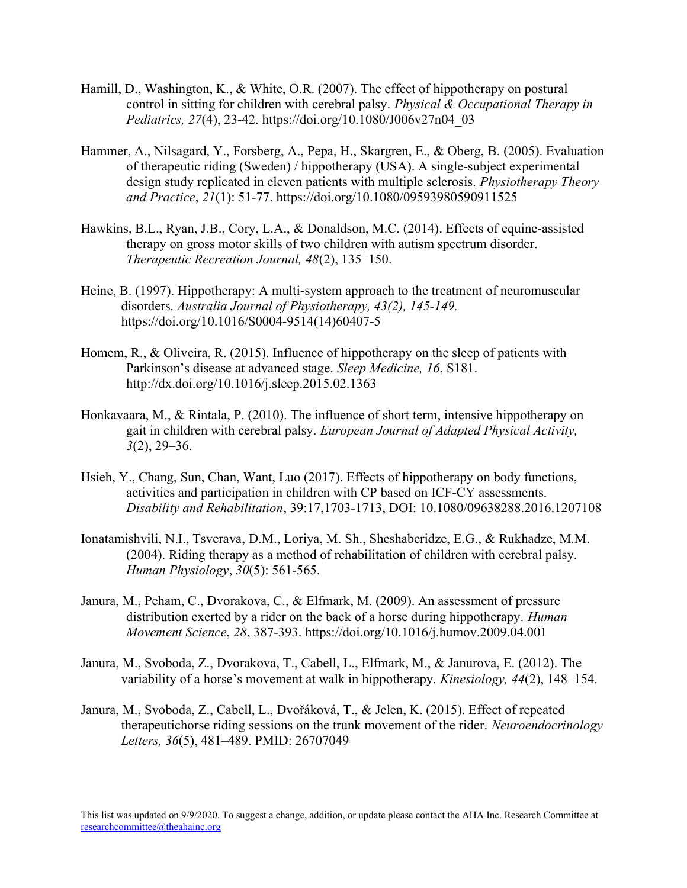- Hamill, D., Washington, K., & White, O.R. (2007). The effect of hippotherapy on postural control in sitting for children with cerebral palsy. Physical & Occupational Therapy in Pediatrics, 27(4), 23-42. https://doi.org/10.1080/J006v27n04\_03
- Hammer, A., Nilsagard, Y., Forsberg, A., Pepa, H., Skargren, E., & Oberg, B. (2005). Evaluation of therapeutic riding (Sweden) / hippotherapy (USA). A single-subject experimental design study replicated in eleven patients with multiple sclerosis. Physiotherapy Theory and Practice, 21(1): 51-77. https://doi.org/10.1080/09593980590911525
- Hawkins, B.L., Ryan, J.B., Cory, L.A., & Donaldson, M.C. (2014). Effects of equine-assisted therapy on gross motor skills of two children with autism spectrum disorder. Therapeutic Recreation Journal, 48(2), 135–150.
- Heine, B. (1997). Hippotherapy: A multi-system approach to the treatment of neuromuscular disorders. Australia Journal of Physiotherapy, 43(2), 145-149. https://doi.org/10.1016/S0004-9514(14)60407-5
- Homem, R., & Oliveira, R. (2015). Influence of hippotherapy on the sleep of patients with Parkinson's disease at advanced stage. Sleep Medicine, 16, S181. http://dx.doi.org/10.1016/j.sleep.2015.02.1363
- Honkavaara, M., & Rintala, P. (2010). The influence of short term, intensive hippotherapy on gait in children with cerebral palsy. European Journal of Adapted Physical Activity,  $3(2)$ , 29–36.
- Hsieh, Y., Chang, Sun, Chan, Want, Luo (2017). Effects of hippotherapy on body functions, activities and participation in children with CP based on ICF-CY assessments. Disability and Rehabilitation, 39:17,1703-1713, DOI: 10.1080/09638288.2016.1207108
- Ionatamishvili, N.I., Tsverava, D.M., Loriya, M. Sh., Sheshaberidze, E.G., & Rukhadze, M.M. (2004). Riding therapy as a method of rehabilitation of children with cerebral palsy. Human Physiology, 30(5): 561-565.
- Janura, M., Peham, C., Dvorakova, C., & Elfmark, M. (2009). An assessment of pressure distribution exerted by a rider on the back of a horse during hippotherapy. *Human* Movement Science, 28, 387-393. https://doi.org/10.1016/j.humov.2009.04.001
- Janura, M., Svoboda, Z., Dvorakova, T., Cabell, L., Elfmark, M., & Janurova, E. (2012). The variability of a horse's movement at walk in hippotherapy. *Kinesiology*, 44(2), 148–154.
- Janura, M., Svoboda, Z., Cabell, L., Dvořáková, T., & Jelen, K. (2015). Effect of repeated therapeutichorse riding sessions on the trunk movement of the rider. Neuroendocrinology Letters, 36(5), 481–489. PMID: 26707049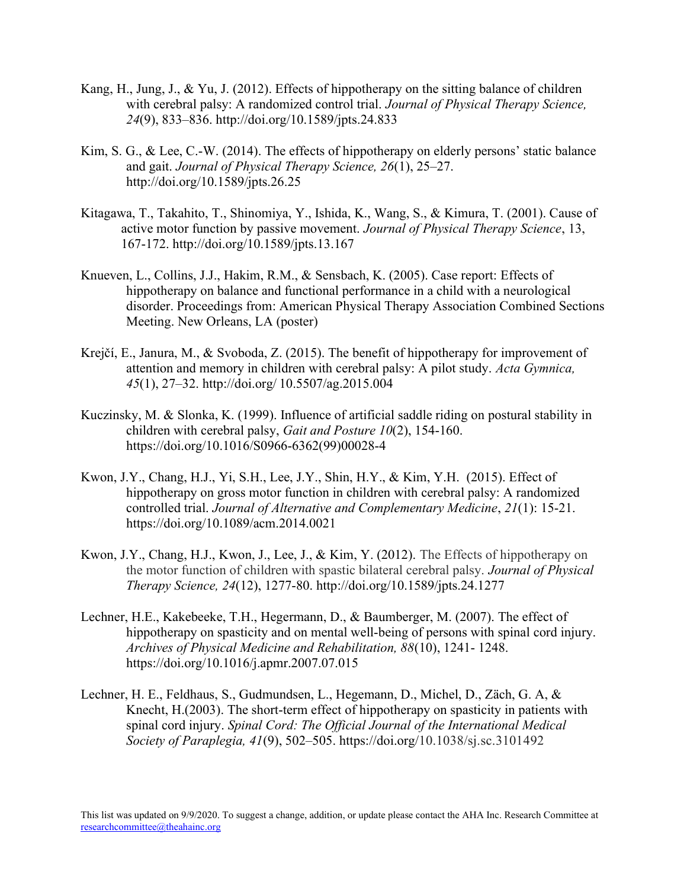- Kang, H., Jung, J., & Yu, J. (2012). Effects of hippotherapy on the sitting balance of children with cerebral palsy: A randomized control trial. Journal of Physical Therapy Science, 24(9), 833–836. http://doi.org/10.1589/jpts.24.833
- Kim, S. G., & Lee, C.-W. (2014). The effects of hippotherapy on elderly persons' static balance and gait. Journal of Physical Therapy Science, 26(1), 25–27. http://doi.org/10.1589/jpts.26.25
- Kitagawa, T., Takahito, T., Shinomiya, Y., Ishida, K., Wang, S., & Kimura, T. (2001). Cause of active motor function by passive movement. Journal of Physical Therapy Science, 13, 167-172. http://doi.org/10.1589/jpts.13.167
- Knueven, L., Collins, J.J., Hakim, R.M., & Sensbach, K. (2005). Case report: Effects of hippotherapy on balance and functional performance in a child with a neurological disorder. Proceedings from: American Physical Therapy Association Combined Sections Meeting. New Orleans, LA (poster)
- Krejčí, E., Janura, M., & Svoboda, Z. (2015). The benefit of hippotherapy for improvement of attention and memory in children with cerebral palsy: A pilot study. Acta Gymnica, 45(1), 27–32. http://doi.org/ 10.5507/ag.2015.004
- Kuczinsky, M. & Slonka, K. (1999). Influence of artificial saddle riding on postural stability in children with cerebral palsy, Gait and Posture 10(2), 154-160. https://doi.org/10.1016/S0966-6362(99)00028-4
- Kwon, J.Y., Chang, H.J., Yi, S.H., Lee, J.Y., Shin, H.Y., & Kim, Y.H. (2015). Effect of hippotherapy on gross motor function in children with cerebral palsy: A randomized controlled trial. Journal of Alternative and Complementary Medicine, 21(1): 15-21. https://doi.org/10.1089/acm.2014.0021
- Kwon, J.Y., Chang, H.J., Kwon, J., Lee, J., & Kim, Y. (2012). The Effects of hippotherapy on the motor function of children with spastic bilateral cerebral palsy. Journal of Physical Therapy Science, 24(12), 1277-80. http://doi.org/10.1589/jpts.24.1277
- Lechner, H.E., Kakebeeke, T.H., Hegermann, D., & Baumberger, M. (2007). The effect of hippotherapy on spasticity and on mental well-being of persons with spinal cord injury. Archives of Physical Medicine and Rehabilitation, 88(10), 1241- 1248. https://doi.org/10.1016/j.apmr.2007.07.015
- Lechner, H. E., Feldhaus, S., Gudmundsen, L., Hegemann, D., Michel, D., Zäch, G. A, & Knecht, H.(2003). The short-term effect of hippotherapy on spasticity in patients with spinal cord injury. Spinal Cord: The Official Journal of the International Medical Society of Paraplegia, 41(9), 502–505. https://doi.org/10.1038/sj.sc.3101492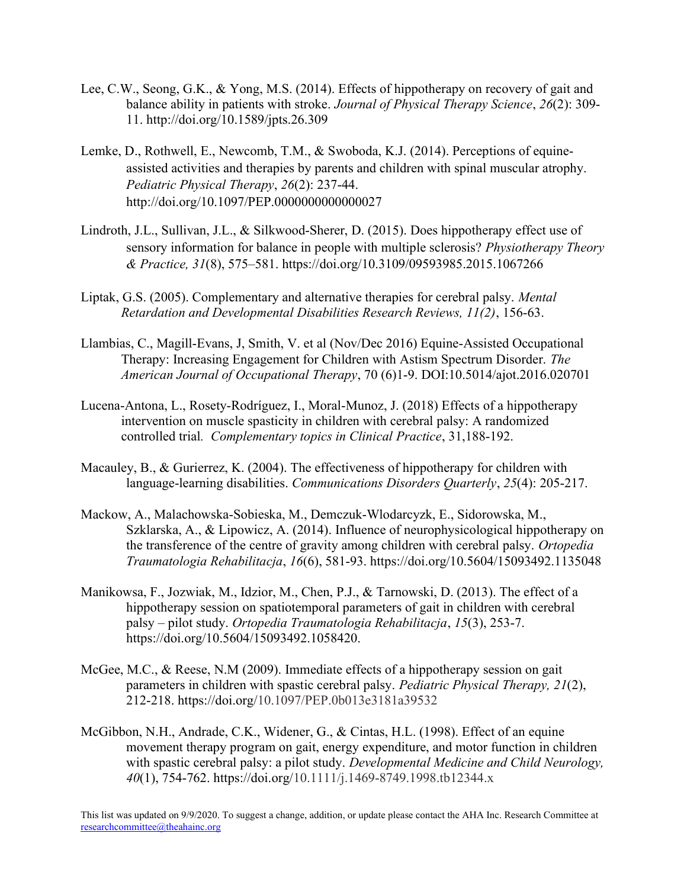- Lee, C.W., Seong, G.K., & Yong, M.S. (2014). Effects of hippotherapy on recovery of gait and balance ability in patients with stroke. Journal of Physical Therapy Science, 26(2): 309-11. http://doi.org/10.1589/jpts.26.309
- Lemke, D., Rothwell, E., Newcomb, T.M., & Swoboda, K.J. (2014). Perceptions of equineassisted activities and therapies by parents and children with spinal muscular atrophy. Pediatric Physical Therapy, 26(2): 237-44. http://doi.org/10.1097/PEP.0000000000000027
- Lindroth, J.L., Sullivan, J.L., & Silkwood-Sherer, D. (2015). Does hippotherapy effect use of sensory information for balance in people with multiple sclerosis? Physiotherapy Theory & Practice, 31(8), 575–581. https://doi.org/10.3109/09593985.2015.1067266
- Liptak, G.S. (2005). Complementary and alternative therapies for cerebral palsy. Mental Retardation and Developmental Disabilities Research Reviews, 11(2), 156-63.
- Llambias, C., Magill-Evans, J, Smith, V. et al (Nov/Dec 2016) Equine-Assisted Occupational Therapy: Increasing Engagement for Children with Astism Spectrum Disorder. The American Journal of Occupational Therapy, 70 (6)1-9. DOI:10.5014/ajot.2016.020701
- Lucena-Antona, L., Rosety-Rodríguez, I., Moral-Munoz, J. (2018) Effects of a hippotherapy intervention on muscle spasticity in children with cerebral palsy: A randomized controlled trial. Complementary topics in Clinical Practice, 31,188-192.
- Macauley, B., & Gurierrez, K. (2004). The effectiveness of hippotherapy for children with language-learning disabilities. Communications Disorders Quarterly, 25(4): 205-217.
- Mackow, A., Malachowska-Sobieska, M., Demczuk-Wlodarcyzk, E., Sidorowska, M., Szklarska, A., & Lipowicz, A. (2014). Influence of neurophysicological hippotherapy on the transference of the centre of gravity among children with cerebral palsy. Ortopedia Traumatologia Rehabilitacja, 16(6), 581-93. https://doi.org/10.5604/15093492.1135048
- Manikowsa, F., Jozwiak, M., Idzior, M., Chen, P.J., & Tarnowski, D. (2013). The effect of a hippotherapy session on spatiotemporal parameters of gait in children with cerebral palsy – pilot study. Ortopedia Traumatologia Rehabilitacja, 15(3), 253-7. https://doi.org/10.5604/15093492.1058420.
- McGee, M.C., & Reese, N.M (2009). Immediate effects of a hippotherapy session on gait parameters in children with spastic cerebral palsy. Pediatric Physical Therapy, 21(2), 212-218. https://doi.org/10.1097/PEP.0b013e3181a39532
- McGibbon, N.H., Andrade, C.K., Widener, G., & Cintas, H.L. (1998). Effect of an equine movement therapy program on gait, energy expenditure, and motor function in children with spastic cerebral palsy: a pilot study. Developmental Medicine and Child Neurology, 40(1), 754-762. https://doi.org/10.1111/j.1469-8749.1998.tb12344.x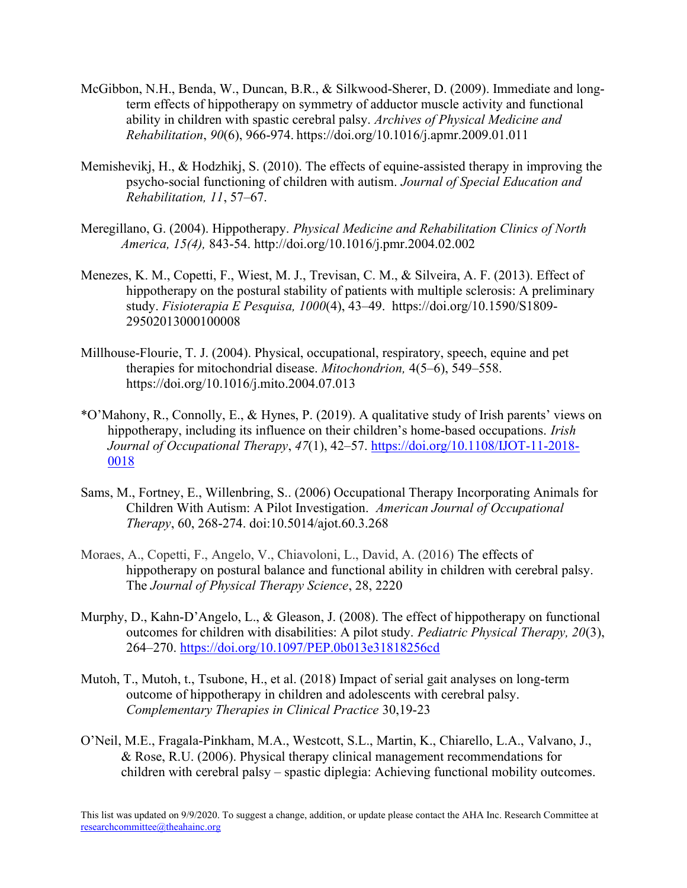- McGibbon, N.H., Benda, W., Duncan, B.R., & Silkwood-Sherer, D. (2009). Immediate and longterm effects of hippotherapy on symmetry of adductor muscle activity and functional ability in children with spastic cerebral palsy. Archives of Physical Medicine and Rehabilitation, 90(6), 966-974. https://doi.org/10.1016/j.apmr.2009.01.011
- Memishevikj, H., & Hodzhikj, S. (2010). The effects of equine-assisted therapy in improving the psycho-social functioning of children with autism. Journal of Special Education and Rehabilitation, 11, 57–67.
- Meregillano, G. (2004). Hippotherapy. Physical Medicine and Rehabilitation Clinics of North America, 15(4), 843-54. http://doi.org/10.1016/j.pmr.2004.02.002
- Menezes, K. M., Copetti, F., Wiest, M. J., Trevisan, C. M., & Silveira, A. F. (2013). Effect of hippotherapy on the postural stability of patients with multiple sclerosis: A preliminary study. Fisioterapia E Pesquisa, 1000(4), 43–49. https://doi.org/10.1590/S1809- 29502013000100008
- Millhouse-Flourie, T. J. (2004). Physical, occupational, respiratory, speech, equine and pet therapies for mitochondrial disease. Mitochondrion, 4(5–6), 549–558. https://doi.org/10.1016/j.mito.2004.07.013
- \*O'Mahony, R., Connolly, E., & Hynes, P. (2019). A qualitative study of Irish parents' views on hippotherapy, including its influence on their children's home-based occupations. *Irish* Journal of Occupational Therapy, 47(1), 42–57. https://doi.org/10.1108/IJOT-11-2018- 0018
- Sams, M., Fortney, E., Willenbring, S.. (2006) Occupational Therapy Incorporating Animals for Children With Autism: A Pilot Investigation. American Journal of Occupational Therapy, 60, 268-274. doi:10.5014/ajot.60.3.268
- Moraes, A., Copetti, F., Angelo, V., Chiavoloni, L., David, A. (2016) The effects of hippotherapy on postural balance and functional ability in children with cerebral palsy. The Journal of Physical Therapy Science, 28, 2220
- Murphy, D., Kahn-D'Angelo, L., & Gleason, J. (2008). The effect of hippotherapy on functional outcomes for children with disabilities: A pilot study. Pediatric Physical Therapy, 20(3), 264–270. https://doi.org/10.1097/PEP.0b013e31818256cd
- Mutoh, T., Mutoh, t., Tsubone, H., et al. (2018) Impact of serial gait analyses on long-term outcome of hippotherapy in children and adolescents with cerebral palsy. Complementary Therapies in Clinical Practice 30,19-23
- O'Neil, M.E., Fragala-Pinkham, M.A., Westcott, S.L., Martin, K., Chiarello, L.A., Valvano, J., & Rose, R.U. (2006). Physical therapy clinical management recommendations for children with cerebral palsy – spastic diplegia: Achieving functional mobility outcomes.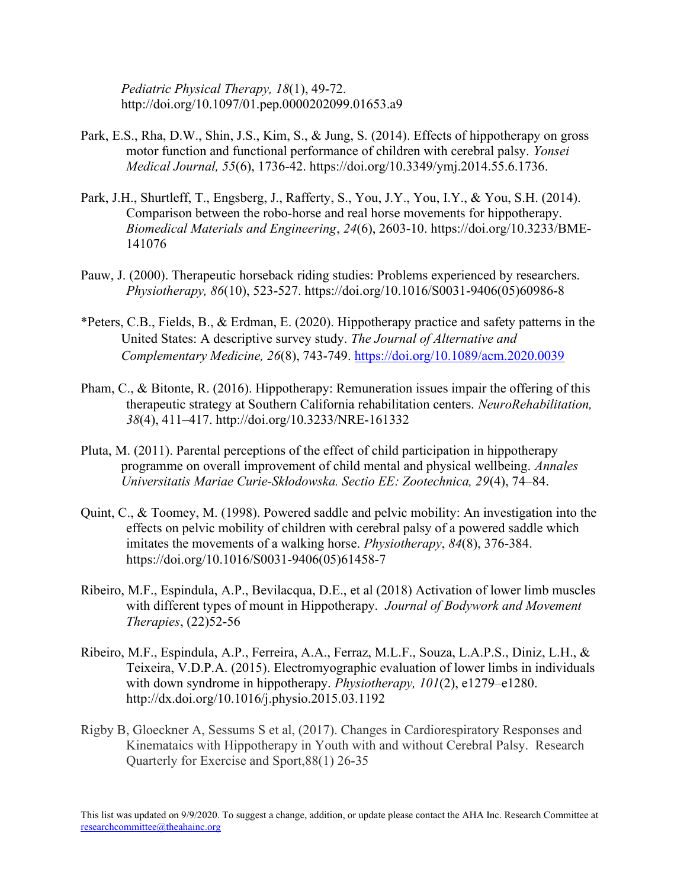Pediatric Physical Therapy, 18(1), 49-72. http://doi.org/10.1097/01.pep.0000202099.01653.a9

- Park, E.S., Rha, D.W., Shin, J.S., Kim, S., & Jung, S. (2014). Effects of hippotherapy on gross motor function and functional performance of children with cerebral palsy. Yonsei Medical Journal, 55(6), 1736-42. https://doi.org/10.3349/ymj.2014.55.6.1736.
- Park, J.H., Shurtleff, T., Engsberg, J., Rafferty, S., You, J.Y., You, I.Y., & You, S.H. (2014). Comparison between the robo-horse and real horse movements for hippotherapy. Biomedical Materials and Engineering, 24(6), 2603-10. https://doi.org/10.3233/BME-141076
- Pauw, J. (2000). Therapeutic horseback riding studies: Problems experienced by researchers. Physiotherapy, 86(10), 523-527. https://doi.org/10.1016/S0031-9406(05)60986-8
- \*Peters, C.B., Fields, B., & Erdman, E. (2020). Hippotherapy practice and safety patterns in the United States: A descriptive survey study. The Journal of Alternative and Complementary Medicine, 26(8), 743-749. https://doi.org/10.1089/acm.2020.0039
- Pham, C., & Bitonte, R. (2016). Hippotherapy: Remuneration issues impair the offering of this therapeutic strategy at Southern California rehabilitation centers. NeuroRehabilitation, 38(4), 411–417. http://doi.org/10.3233/NRE-161332
- Pluta, M. (2011). Parental perceptions of the effect of child participation in hippotherapy programme on overall improvement of child mental and physical wellbeing. Annales Universitatis Mariae Curie-Skłodowska. Sectio EE: Zootechnica, 29(4), 74–84.
- Quint, C., & Toomey, M. (1998). Powered saddle and pelvic mobility: An investigation into the effects on pelvic mobility of children with cerebral palsy of a powered saddle which imitates the movements of a walking horse. Physiotherapy, 84(8), 376-384. https://doi.org/10.1016/S0031-9406(05)61458-7
- Ribeiro, M.F., Espindula, A.P., Bevilacqua, D.E., et al (2018) Activation of lower limb muscles with different types of mount in Hippotherapy. Journal of Bodywork and Movement Therapies, (22)52-56
- Ribeiro, M.F., Espindula, A.P., Ferreira, A.A., Ferraz, M.L.F., Souza, L.A.P.S., Diniz, L.H., & Teixeira, V.D.P.A. (2015). Electromyographic evaluation of lower limbs in individuals with down syndrome in hippotherapy. Physiotherapy, 101(2), e1279–e1280. http://dx.doi.org/10.1016/j.physio.2015.03.1192
- Rigby B, Gloeckner A, Sessums S et al, (2017). Changes in Cardiorespiratory Responses and Kinemataics with Hippotherapy in Youth with and without Cerebral Palsy. Research Quarterly for Exercise and Sport,88(1) 26-35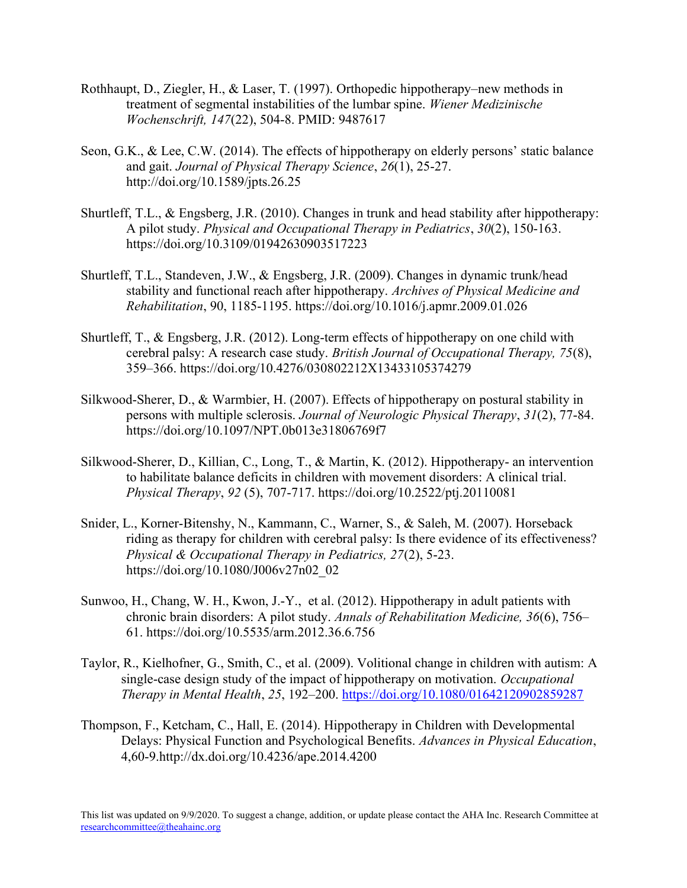- Rothhaupt, D., Ziegler, H., & Laser, T. (1997). Orthopedic hippotherapy–new methods in treatment of segmental instabilities of the lumbar spine. Wiener Medizinische Wochenschrift, 147(22), 504-8. PMID: 9487617
- Seon, G.K., & Lee, C.W. (2014). The effects of hippotherapy on elderly persons' static balance and gait. Journal of Physical Therapy Science, 26(1), 25-27. http://doi.org/10.1589/jpts.26.25
- Shurtleff, T.L., & Engsberg, J.R. (2010). Changes in trunk and head stability after hippotherapy: A pilot study. Physical and Occupational Therapy in Pediatrics, 30(2), 150-163. https://doi.org/10.3109/01942630903517223
- Shurtleff, T.L., Standeven, J.W., & Engsberg, J.R. (2009). Changes in dynamic trunk/head stability and functional reach after hippotherapy. Archives of Physical Medicine and Rehabilitation, 90, 1185-1195. https://doi.org/10.1016/j.apmr.2009.01.026
- Shurtleff, T., & Engsberg, J.R. (2012). Long-term effects of hippotherapy on one child with cerebral palsy: A research case study. British Journal of Occupational Therapy, 75(8), 359–366. https://doi.org/10.4276/030802212X13433105374279
- Silkwood-Sherer, D., & Warmbier, H. (2007). Effects of hippotherapy on postural stability in persons with multiple sclerosis. Journal of Neurologic Physical Therapy, 31(2), 77-84. https://doi.org/10.1097/NPT.0b013e31806769f7
- Silkwood-Sherer, D., Killian, C., Long, T., & Martin, K. (2012). Hippotherapy- an intervention to habilitate balance deficits in children with movement disorders: A clinical trial. Physical Therapy, 92 (5), 707-717. https://doi.org/10.2522/ptj.20110081
- Snider, L., Korner-Bitenshy, N., Kammann, C., Warner, S., & Saleh, M. (2007). Horseback riding as therapy for children with cerebral palsy: Is there evidence of its effectiveness? Physical & Occupational Therapy in Pediatrics, 27(2), 5-23. https://doi.org/10.1080/J006v27n02\_02
- Sunwoo, H., Chang, W. H., Kwon, J.-Y., et al. (2012). Hippotherapy in adult patients with chronic brain disorders: A pilot study. Annals of Rehabilitation Medicine, 36(6), 756– 61. https://doi.org/10.5535/arm.2012.36.6.756
- Taylor, R., Kielhofner, G., Smith, C., et al. (2009). Volitional change in children with autism: A single-case design study of the impact of hippotherapy on motivation. Occupational Therapy in Mental Health, 25, 192–200. https://doi.org/10.1080/01642120902859287
- Thompson, F., Ketcham, C., Hall, E. (2014). Hippotherapy in Children with Developmental Delays: Physical Function and Psychological Benefits. Advances in Physical Education, 4,60-9.http://dx.doi.org/10.4236/ape.2014.4200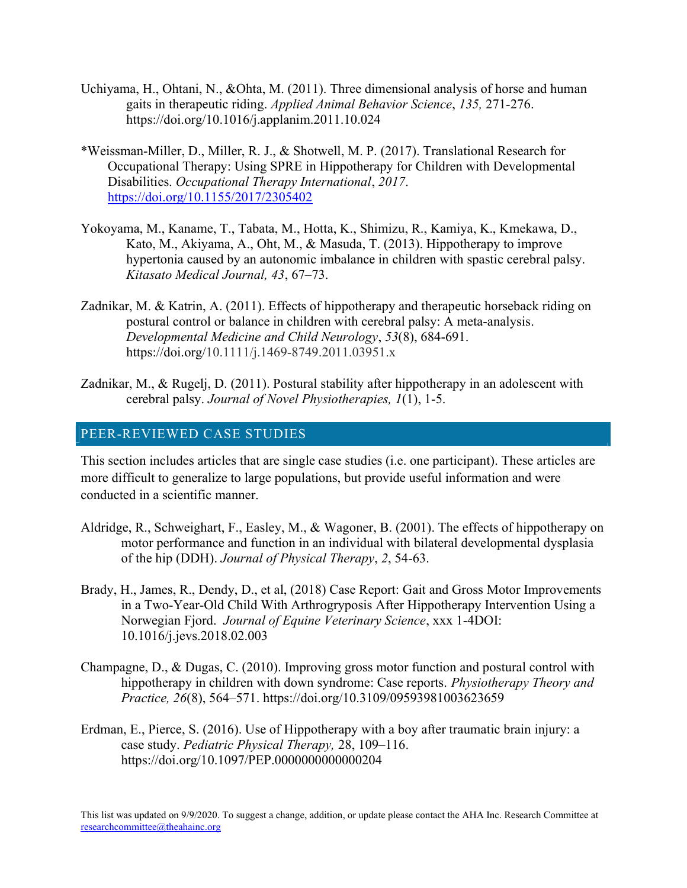- Uchiyama, H., Ohtani, N., &Ohta, M. (2011). Three dimensional analysis of horse and human gaits in therapeutic riding. Applied Animal Behavior Science, 135, 271-276. https://doi.org/10.1016/j.applanim.2011.10.024
- \*Weissman-Miller, D., Miller, R. J., & Shotwell, M. P. (2017). Translational Research for Occupational Therapy: Using SPRE in Hippotherapy for Children with Developmental Disabilities. Occupational Therapy International, 2017. https://doi.org/10.1155/2017/2305402
- Yokoyama, M., Kaname, T., Tabata, M., Hotta, K., Shimizu, R., Kamiya, K., Kmekawa, D., Kato, M., Akiyama, A., Oht, M., & Masuda, T. (2013). Hippotherapy to improve hypertonia caused by an autonomic imbalance in children with spastic cerebral palsy. Kitasato Medical Journal, 43, 67–73.
- Zadnikar, M. & Katrin, A. (2011). Effects of hippotherapy and therapeutic horseback riding on postural control or balance in children with cerebral palsy: A meta-analysis. Developmental Medicine and Child Neurology, 53(8), 684-691. https://doi.org/10.1111/j.1469-8749.2011.03951.x
- Zadnikar, M., & Rugelj, D. (2011). Postural stability after hippotherapy in an adolescent with cerebral palsy. Journal of Novel Physiotherapies, 1(1), 1-5.

## PEER-REVIEWED CASE STUDIES

This section includes articles that are single case studies (i.e. one participant). These articles are more difficult to generalize to large populations, but provide useful information and were conducted in a scientific manner.

- Aldridge, R., Schweighart, F., Easley, M., & Wagoner, B. (2001). The effects of hippotherapy on motor performance and function in an individual with bilateral developmental dysplasia of the hip (DDH). Journal of Physical Therapy, 2, 54-63.
- Brady, H., James, R., Dendy, D., et al, (2018) Case Report: Gait and Gross Motor Improvements in a Two-Year-Old Child With Arthrogryposis After Hippotherapy Intervention Using a Norwegian Fjord. Journal of Equine Veterinary Science, xxx 1-4DOI: 10.1016/j.jevs.2018.02.003
- Champagne, D., & Dugas, C. (2010). Improving gross motor function and postural control with hippotherapy in children with down syndrome: Case reports. Physiotherapy Theory and Practice, 26(8), 564–571. https://doi.org/10.3109/09593981003623659
- Erdman, E., Pierce, S. (2016). Use of Hippotherapy with a boy after traumatic brain injury: a case study. Pediatric Physical Therapy, 28, 109–116. https://doi.org/10.1097/PEP.0000000000000204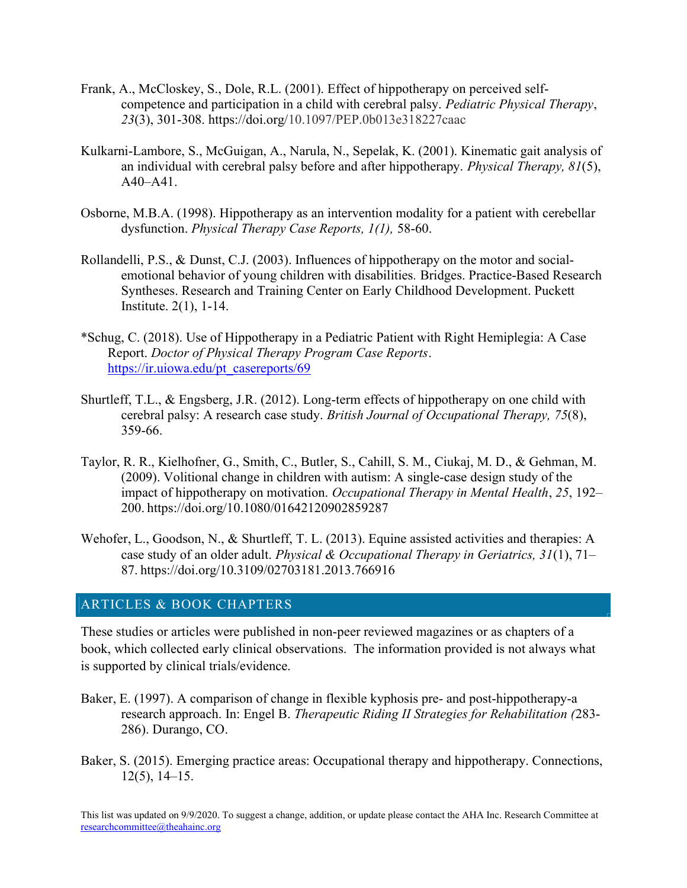- Frank, A., McCloskey, S., Dole, R.L. (2001). Effect of hippotherapy on perceived selfcompetence and participation in a child with cerebral palsy. Pediatric Physical Therapy, 23(3), 301-308. https://doi.org/10.1097/PEP.0b013e318227caac
- Kulkarni-Lambore, S., McGuigan, A., Narula, N., Sepelak, K. (2001). Kinematic gait analysis of an individual with cerebral palsy before and after hippotherapy. Physical Therapy, 81(5), A40–A41.
- Osborne, M.B.A. (1998). Hippotherapy as an intervention modality for a patient with cerebellar dysfunction. *Physical Therapy Case Reports*, 1(1), 58-60.
- Rollandelli, P.S., & Dunst, C.J. (2003). Influences of hippotherapy on the motor and socialemotional behavior of young children with disabilities. Bridges. Practice-Based Research Syntheses. Research and Training Center on Early Childhood Development. Puckett Institute. 2(1), 1-14.
- \*Schug, C. (2018). Use of Hippotherapy in a Pediatric Patient with Right Hemiplegia: A Case Report. Doctor of Physical Therapy Program Case Reports. https://ir.uiowa.edu/pt\_casereports/69
- Shurtleff, T.L., & Engsberg, J.R. (2012). Long-term effects of hippotherapy on one child with cerebral palsy: A research case study. British Journal of Occupational Therapy, 75(8), 359-66.
- Taylor, R. R., Kielhofner, G., Smith, C., Butler, S., Cahill, S. M., Ciukaj, M. D., & Gehman, M. (2009). Volitional change in children with autism: A single-case design study of the impact of hippotherapy on motivation. Occupational Therapy in Mental Health, 25, 192– 200. https://doi.org/10.1080/01642120902859287
- Wehofer, L., Goodson, N., & Shurtleff, T. L. (2013). Equine assisted activities and therapies: A case study of an older adult. Physical & Occupational Therapy in Geriatrics,  $31(1)$ ,  $71-$ 87. https://doi.org/10.3109/02703181.2013.766916

# ARTICLES & BOOK CHAPTERS

These studies or articles were published in non-peer reviewed magazines or as chapters of a book, which collected early clinical observations. The information provided is not always what is supported by clinical trials/evidence.

- Baker, E. (1997). A comparison of change in flexible kyphosis pre- and post-hippotherapy-a research approach. In: Engel B. Therapeutic Riding II Strategies for Rehabilitation (283- 286). Durango, CO.
- Baker, S. (2015). Emerging practice areas: Occupational therapy and hippotherapy. Connections, 12(5), 14–15.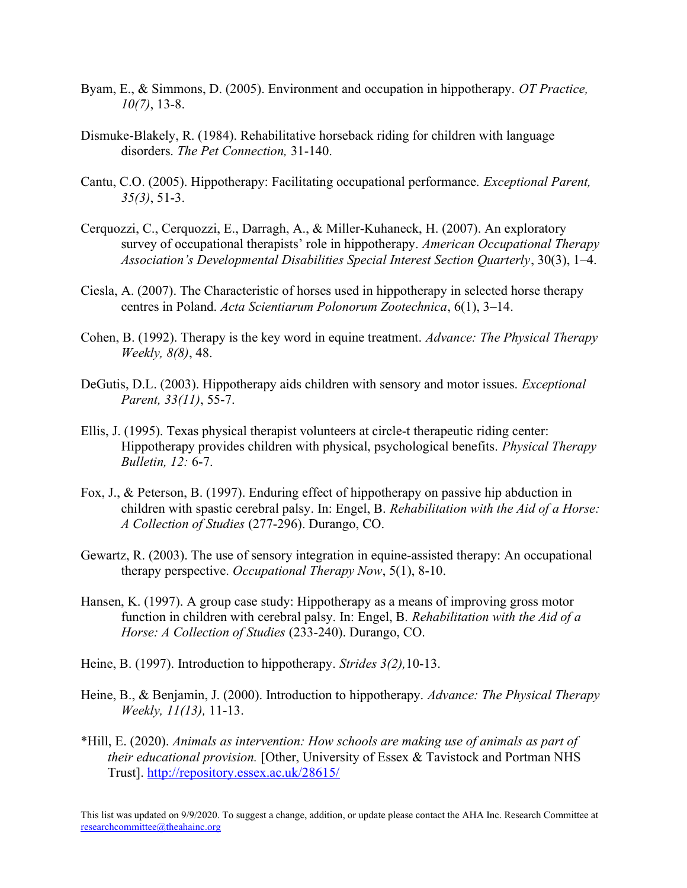- Byam, E., & Simmons, D. (2005). Environment and occupation in hippotherapy. OT Practice,  $10(7)$ , 13-8.
- Dismuke-Blakely, R. (1984). Rehabilitative horseback riding for children with language disorders. The Pet Connection, 31-140.
- Cantu, C.O. (2005). Hippotherapy: Facilitating occupational performance. Exceptional Parent, 35(3), 51-3.
- Cerquozzi, C., Cerquozzi, E., Darragh, A., & Miller-Kuhaneck, H. (2007). An exploratory survey of occupational therapists' role in hippotherapy. American Occupational Therapy Association's Developmental Disabilities Special Interest Section Quarterly, 30(3), 1–4.
- Ciesla, A. (2007). The Characteristic of horses used in hippotherapy in selected horse therapy centres in Poland. Acta Scientiarum Polonorum Zootechnica, 6(1), 3–14.
- Cohen, B. (1992). Therapy is the key word in equine treatment. Advance: The Physical Therapy Weekly, 8(8), 48.
- DeGutis, D.L. (2003). Hippotherapy aids children with sensory and motor issues. Exceptional Parent, 33(11), 55-7.
- Ellis, J. (1995). Texas physical therapist volunteers at circle-t therapeutic riding center: Hippotherapy provides children with physical, psychological benefits. Physical Therapy Bulletin, 12: 6-7.
- Fox, J., & Peterson, B. (1997). Enduring effect of hippotherapy on passive hip abduction in children with spastic cerebral palsy. In: Engel, B. Rehabilitation with the Aid of a Horse: A Collection of Studies (277-296). Durango, CO.
- Gewartz, R. (2003). The use of sensory integration in equine-assisted therapy: An occupational therapy perspective. Occupational Therapy Now, 5(1), 8-10.
- Hansen, K. (1997). A group case study: Hippotherapy as a means of improving gross motor function in children with cerebral palsy. In: Engel, B. Rehabilitation with the Aid of a Horse: A Collection of Studies (233-240). Durango, CO.
- Heine, B. (1997). Introduction to hippotherapy. Strides 3(2), 10-13.
- Heine, B., & Benjamin, J. (2000). Introduction to hippotherapy. Advance: The Physical Therapy Weekly, 11(13), 11-13.
- \*Hill, E. (2020). Animals as intervention: How schools are making use of animals as part of their educational provision. [Other, University of Essex & Tavistock and Portman NHS Trust]. http://repository.essex.ac.uk/28615/